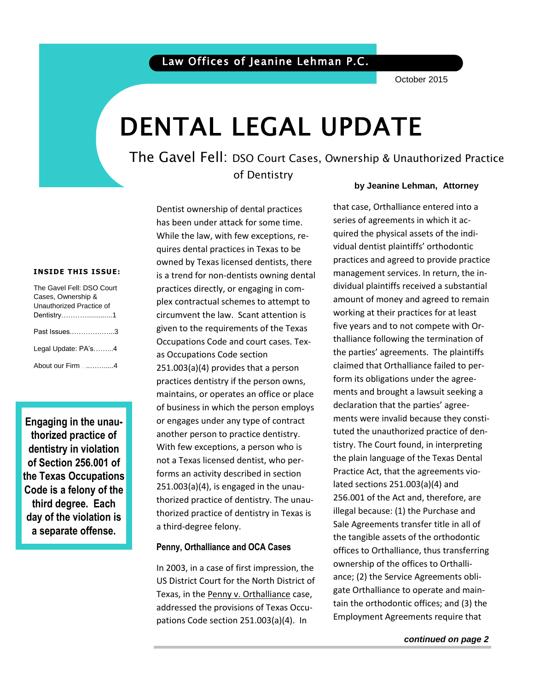## Law Offices of Jeanine Lehman P.C.

October 2015

# DENTAL LEGAL UPDATE

The Gavel Fell: DSO Court Cases, Ownership & Unauthorized Practice of Dentistry

#### **INSIDE THIS ISSUE:**

| The Gavel Fell: DSO Court       |
|---------------------------------|
| Cases, Ownership &              |
| Unauthorized Practice of        |
| Dentistry1                      |
| Past Issues3                    |
| Legal Update: PA's4             |
| Ahout our Firm _______________4 |

**Engaging in the unauthorized practice of dentistry in violation of Section 256.001 of the Texas Occupations Code is a felony of the third degree. Each day of the violation is a separate offense.** 

Dentist ownership of dental practices has been under attack for some time. While the law, with few exceptions, requires dental practices in Texas to be owned by Texas licensed dentists, there is a trend for non-dentists owning dental practices directly, or engaging in complex contractual schemes to attempt to circumvent the law. Scant attention is given to the requirements of the Texas Occupations Code and court cases. Texas Occupations Code section 251.003(a)(4) provides that a person practices dentistry if the person owns, maintains, or operates an office or place of business in which the person employs or engages under any type of contract another person to practice dentistry. With few exceptions, a person who is not a Texas licensed dentist, who performs an activity described in section 251.003(a)(4), is engaged in the unauthorized practice of dentistry. The unauthorized practice of dentistry in Texas is a third-degree felony.

#### **Penny, Orthalliance and OCA Cases**

In 2003, in a case of first impression, the US District Court for the North District of Texas, in the Penny v. Orthalliance case, addressed the provisions of Texas Occupations Code section 251.003(a)(4). In

#### **by Jeanine Lehman, Attorney**

 quired the physical assets of the individual defitist plaintins of thoublitic<br>practices and agreed to provide practice management services. In return, the in-<br>dividual plaintiffs resolved a substantial that case, Orthalliance entered into a series of agreements in which it acvidual dentist plaintiffs' orthodontic dividual plaintiffs received a substantial amount of money and agreed to remain working at their practices for at least five years and to not compete with Orthalliance following the termination of the parties' agreements. The plaintiffs claimed that Orthalliance failed to perform its obligations under the agreements and brought a lawsuit seeking a declaration that the parties' agreements were invalid because they constituted the unauthorized practice of dentistry. The Court found, in interpreting the plain language of the Texas Dental Practice Act, that the agreements violated sections 251.003(a)(4) and 256.001 of the Act and, therefore, are illegal because: (1) the Purchase and Sale Agreements transfer title in all of the tangible assets of the orthodontic offices to Orthalliance, thus transferring ownership of the offices to Orthalliance; (2) the Service Agreements obligate Orthalliance to operate and maintain the orthodontic offices; and (3) the Employment Agreements require that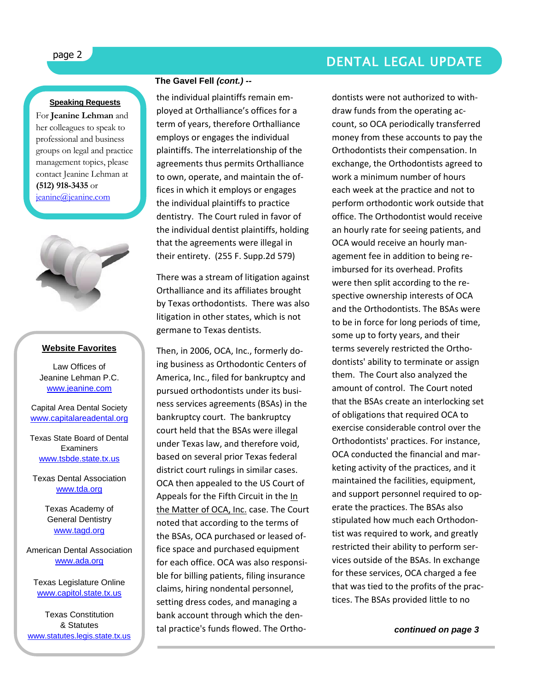# page 2 DENTAL LEGAL UPDATE

#### **Speaking Requests**

For **Jeanine Lehman** and her colleagues to speak to professional and business groups on legal and practice management topics, please contact Jeanine Lehman at **(512) 918-3435** or [jeanine@jeanine.com](mailto:jeanine@jeanine.com)



ļ

#### **Website Favorites**

Law Offices of Jeanine Lehman P.C. [www.jeanine.com](http://www.jeanine.com/)

Capital Area Dental Society [www.capitalareadental.org](http://www.capitalareadental.org/)

Texas State Board of Dental **Examiners** [www.tsbde.state.tx.us](http://www.tsbde.state.tx.us/)

Texas Dental Association [www.tda.org](http://www.tda.org/)

> Texas Academy of General Dentistry [www.tagd.org](http://www.tagd.org/)

American Dental Association [www.ada.org](http://www.ada.org/)

Texas Legislature Online [www.capitol.state.tx.us](http://www.capitol.state.tx.us/)

Texas Constitution & Statutes [www.statutes.legis.state.tx.us](http://www.statutes.legis.state.tx.us/)

#### **The Gavel Fell** *(cont.) --*

the individual plaintiffs remain employed at Orthalliance's offices for a term of years, therefore Orthalliance employs or engages the individual plaintiffs. The interrelationship of the agreements thus permits Orthalliance to own, operate, and maintain the offices in which it employs or engages the individual plaintiffs to practice dentistry. The Court ruled in favor of the individual dentist plaintiffs, holding that the agreements were illegal in their entirety. (255 F. Supp.2d 579)

There was a stream of litigation against Orthalliance and its affiliates brought by Texas orthodontists. There was also litigation in other states, which is not germane to Texas dentists.

Then, in 2006, OCA, Inc., formerly doing business as Orthodontic Centers of America, Inc., filed for bankruptcy and pursued orthodontists under its business services agreements (BSAs) in the bankruptcy court. The bankruptcy court held that the BSAs were illegal under Texas law, and therefore void, based on several prior Texas federal district court rulings in similar cases. OCA then appealed to the US Court of Appeals for the Fifth Circuit in the In the Matter of OCA, Inc. case. The Court noted that according to the terms of the BSAs, OCA purchased or leased office space and purchased equipment for each office. OCA was also responsible for billing patients, filing insurance claims, hiring nondental personnel, setting dress codes, and managing a bank account through which the dental practice's funds flowed. The Orthodontists were not authorized to withdraw funds from the operating account, so OCA periodically transferred money from these accounts to pay the Orthodontists their compensation. In exchange, the Orthodontists agreed to work a minimum number of hours each week at the practice and not to perform orthodontic work outside that office. The Orthodontist would receive an hourly rate for seeing patients, and OCA would receive an hourly management fee in addition to being reimbursed for its overhead. Profits were then split according to the respective ownership interests of OCA and the Orthodontists. The BSAs were to be in force for long periods of time, some up to forty years, and their terms severely restricted the Orthodontists' ability to terminate or assign them. The Court also analyzed the amount of control. The Court noted that the BSAs create an interlocking set of obligations that required OCA to exercise considerable control over the Orthodontists' practices. For instance, OCA conducted the financial and marketing activity of the practices, and it maintained the facilities, equipment, and support personnel required to operate the practices. The BSAs also stipulated how much each Orthodontist was required to work, and greatly restricted their ability to perform services outside of the BSAs. In exchange for these services, OCA charged a fee that was tied to the profits of the practices. The BSAs provided little to no

*continued on page 3*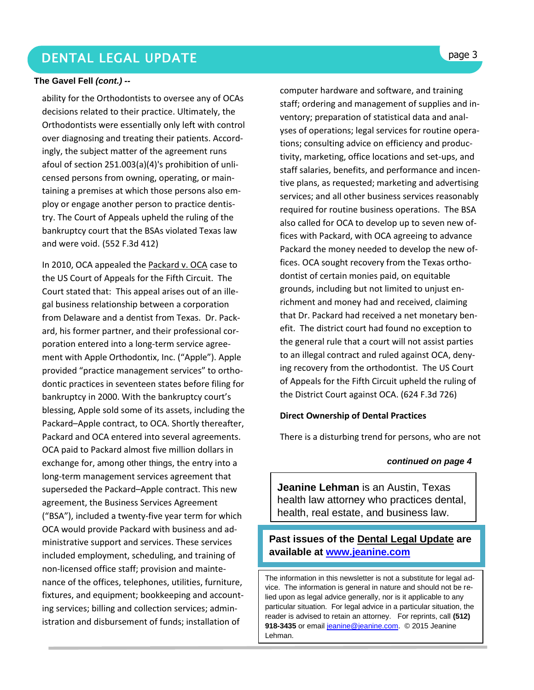# DENTAL LEGAL UPDATE **page 3**

#### **The Gavel Fell** *(cont.) --*

ability for the Orthodontists to oversee any of OCAs decisions related to their practice. Ultimately, the Orthodontists were essentially only left with control over diagnosing and treating their patients. Accordingly, the subject matter of the agreement runs afoul of [section 251.003\(](http://www.westlaw.com/Find/Default.wl?rs=dfa1.0&vr=2.0&DB=1016178&DocName=TXOCS251.003&FindType=L)a)(4)'s prohibition of unlicensed persons from owning, operating, or maintaining a premises at which those persons also employ or engage another person to practice dentistry. The Court of Appeals upheld the ruling of the bankruptcy court that the BSAs violated Texas law and were void. (552 F.3d 412)

In 2010, OCA appealed the Packard v. OCA case to the US Court of Appeals for the Fifth Circuit. The Court stated that: This appeal arises out of an illegal business relationship between a corporation from Delaware and a dentist from Texas. Dr. Packard, his former partner, and their professional corporation entered into a long-term service agreement with Apple Orthodontix, Inc. ("Apple"). Apple provided "practice management services" to orthodontic practices in seventeen states before filing for bankruptcy in 2000. With the bankruptcy court's blessing, Apple sold some of its assets, including the Packard–Apple contract, to OCA. Shortly thereafter, Packard and OCA entered into several agreements. OCA paid to Packard almost five million dollars in exchange for, among other things, the entry into a long-term management services agreement that superseded the Packard–Apple contract. This new agreement, the Business Services Agreement ("BSA"), included a twenty-five year term for which OCA would provide Packard with business and administrative support and services. These services included employment, scheduling, and training of non-licensed office staff; provision and maintenance of the offices, telephones, utilities, furniture, fixtures, and equipment; bookkeeping and accounting services; billing and collection services; administration and disbursement of funds; installation of

computer hardware and software, and training staff; ordering and management of supplies and inventory; preparation of statistical data and analyses of operations; legal services for routine operations; consulting advice on efficiency and productivity, marketing, office locations and set-ups, and staff salaries, benefits, and performance and incentive plans, as requested; marketing and advertising services; and all other business services reasonably required for routine business operations. The BSA also called for OCA to develop up to seven new offices with Packard, with OCA agreeing to advance Packard the money needed to develop the new offices. OCA sought recovery from the Texas orthodontist of certain monies paid, on equitable grounds, including but not limited to unjust enrichment and money had and received, claiming that Dr. Packard had received a net monetary benefit. The district court had found no exception to the general rule that a court will not assist parties to an illegal contract and ruled against OCA, denying recovery from the orthodontist. The US Court of Appeals for the Fifth Circuit upheld the ruling of the District Court against OCA. (624 F.3d 726)

#### **Direct Ownership of Dental Practices**

There is a disturbing trend for persons, who are not

#### *continued on page 4*

**Jeanine Lehman** is an Austin, Texas health law attorney who practices dental, health, real estate, and business law.

### **Past issues of the Dental Legal Update are available at [www.jeanine.com](http://www.jeanine.com/)**

The information in this newsletter is not a substitute for legal advice. The information is general in nature and should not be relied upon as legal advice generally, nor is it applicable to any particular situation. For legal advice in a particular situation, the reader is advised to retain an attorney. For reprints, call **(512)**  918-3435 or email [jeanine@jeanine.com.](mailto:jeanine@jeanine.com) © 2015 Jeanine Lehman.